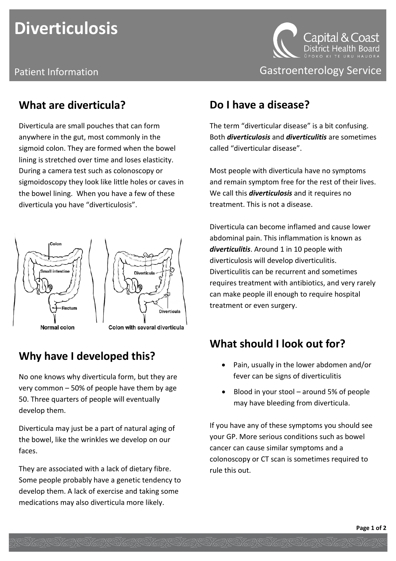# **Diverticulosis**

#### **What are diverticula?**

Diverticula are small pouches that can form anywhere in the gut, most commonly in the sigmoid colon. They are formed when the bowel lining is stretched over time and loses elasticity. During a camera test such as colonoscopy or sigmoidoscopy they look like little holes or caves in the bowel lining. When you have a few of these diverticula you have "diverticulosis".





Colon with several diverticula

#### **Why have I developed this?**

No one knows why diverticula form, but they are very common – 50% of people have them by age 50. Three quarters of people will eventually develop them.

Diverticula may just be a part of natural aging of the bowel, like the wrinkles we develop on our faces.

They are associated with a lack of dietary fibre. Some people probably have a genetic tendency to develop them. A lack of exercise and taking some medications may also diverticula more likely.



Patient Information **Contract Contract Contract Contract Contract Contract Contract Contract Contract Contract Contract Contract Contract Contract Contract Contract Contract Contract Contract Contract Contract Contract Con** 

#### **Do I have a disease?**

The term "diverticular disease" is a bit confusing. Both *diverticulosis* and *diverticulitis* are sometimes called "diverticular disease".

Most people with diverticula have no symptoms and remain symptom free for the rest of their lives. We call this *diverticulosis* and it requires no treatment. This is not a disease.

Diverticula can become inflamed and cause lower abdominal pain. This inflammation is known as *diverticulitis*. Around 1 in 10 people with diverticulosis will develop diverticulitis. Diverticulitis can be recurrent and sometimes requires treatment with antibiotics, and very rarely can make people ill enough to require hospital treatment or even surgery.

#### **What should I look out for?**

- Pain, usually in the lower abdomen and/or fever can be signs of diverticulitis
- Blood in your stool around 5% of people may have bleeding from diverticula.

If you have any of these symptoms you should see your GP. More serious conditions such as bowel cancer can cause similar symptoms and a colonoscopy or CT scan is sometimes required to rule this out.